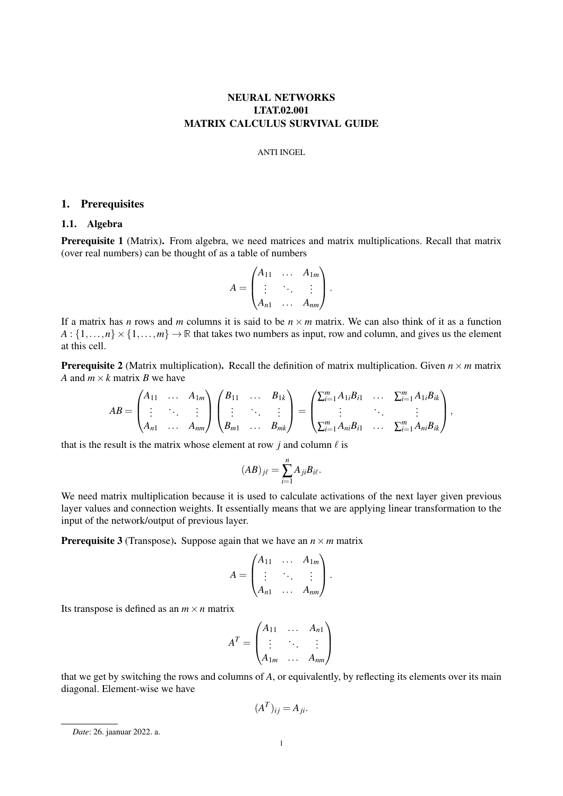# NEURAL NETWORKS LTAT.02.001 MATRIX CALCULUS SURVIVAL GUIDE

### ANTI INGEL

## 1. Prerequisites

## 1.1. Algebra

Prerequisite 1 (Matrix). From algebra, we need matrices and matrix multiplications. Recall that matrix (over real numbers) can be thought of as a table of numbers

$$
A = \begin{pmatrix} A_{11} & \cdots & A_{1m} \\ \vdots & \ddots & \vdots \\ A_{n1} & \cdots & A_{nm} \end{pmatrix}.
$$

If a matrix has *n* rows and *m* columns it is said to be  $n \times m$  matrix. We can also think of it as a function  $A: \{1,\ldots,n\} \times \{1,\ldots,m\} \to \mathbb{R}$  that takes two numbers as input, row and column, and gives us the element at this cell.

**Prerequisite 2** (Matrix multiplication). Recall the definition of matrix multiplication. Given  $n \times m$  matrix *A* and  $m \times k$  matrix *B* we have

$$
AB = \begin{pmatrix} A_{11} & \cdots & A_{1m} \\ \vdots & \ddots & \vdots \\ A_{n1} & \cdots & A_{nm} \end{pmatrix} \begin{pmatrix} B_{11} & \cdots & B_{1k} \\ \vdots & \ddots & \vdots \\ B_{m1} & \cdots & B_{mk} \end{pmatrix} = \begin{pmatrix} \sum_{i=1}^{m} A_{1i}B_{i1} & \cdots & \sum_{i=1}^{m} A_{1i}B_{ik} \\ \vdots & \ddots & \vdots \\ \sum_{i=1}^{m} A_{ni}B_{i1} & \cdots & \sum_{i=1}^{m} A_{ni}B_{ik} \end{pmatrix},
$$

that is the result is the matrix whose element at row  $j$  and column  $\ell$  is

$$
(AB)_{j\ell}=\sum_{i=1}^n A_{ji}B_{i\ell}.
$$

We need matrix multiplication because it is used to calculate activations of the next layer given previous layer values and connection weights. It essentially means that we are applying linear transformation to the input of the network/output of previous layer.

**Prerequisite 3** (Transpose). Suppose again that we have an  $n \times m$  matrix

$$
A = \begin{pmatrix} A_{11} & \dots & A_{1m} \\ \vdots & \ddots & \vdots \\ A_{n1} & \dots & A_{nm} \end{pmatrix}.
$$

Its transpose is defined as an  $m \times n$  matrix

$$
AT = \begin{pmatrix} A_{11} & \dots & A_{n1} \\ \vdots & \ddots & \vdots \\ A_{1m} & \dots & A_{nm} \end{pmatrix}
$$

that we get by switching the rows and columns of *A*, or equivalently, by reflecting its elements over its main diagonal. Element-wise we have

$$
(A^T)_{ij} = A_{ji}.
$$

*Date*: 26. jaanuar 2022. a.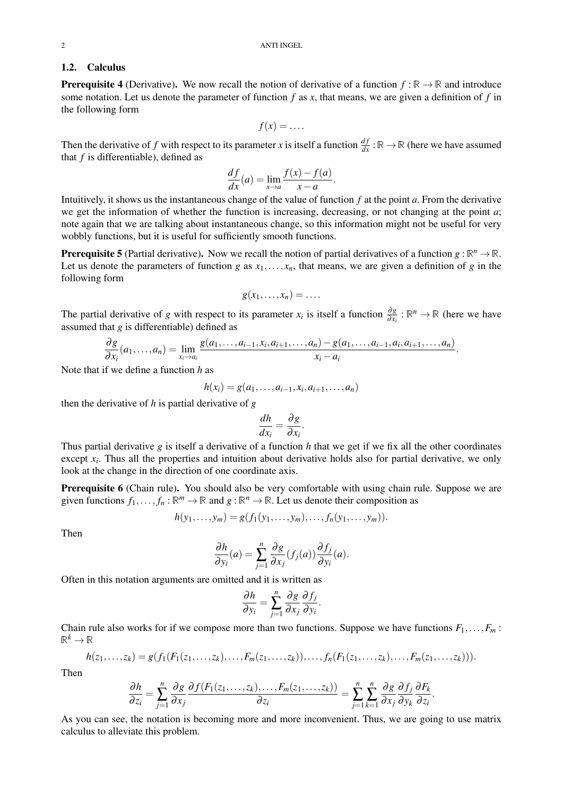#### 1.2. Calculus

**Prerequisite 4** (Derivative). We now recall the notion of derivative of a function  $f : \mathbb{R} \to \mathbb{R}$  and introduce some notation. Let us denote the parameter of function *f* as *x*, that means, we are given a definition of *f* in the following form

$$
f(x) = \ldots
$$

Then the derivative of *f* with respect to its parameter *x* is itself a function  $\frac{df}{dx}$ :  $\mathbb{R} \to \mathbb{R}$  (here we have assumed that *f* is differentiable), defined as

$$
\frac{df}{dx}(a) = \lim_{x \to a} \frac{f(x) - f(a)}{x - a}.
$$

Intuitively, it shows us the instantaneous change of the value of function *f* at the point *a*. From the derivative we get the information of whether the function is increasing, decreasing, or not changing at the point *a*; note again that we are talking about instantaneous change, so this information might not be useful for very wobbly functions, but it is useful for sufficiently smooth functions.

**Prerequisite 5** (Partial derivative). Now we recall the notion of partial derivatives of a function  $g : \mathbb{R}^n \to \mathbb{R}$ . Let us denote the parameters of function *g* as  $x_1, \ldots, x_n$ , that means, we are given a definition of *g* in the following form

$$
g(x_1,\ldots,x_n)=\ldots.
$$

The partial derivative of *g* with respect to its parameter  $x_i$  is itself a function  $\frac{\partial g}{\partial x_i} : \mathbb{R}^n \to \mathbb{R}$  (here we have assumed that *g* is differentiable) defined as

$$
\frac{\partial g}{\partial x_i}(a_1,\ldots,a_n)=\lim_{x_i\to a_i}\frac{g(a_1,\ldots,a_{i-1},x_i,a_{i+1},\ldots,a_n)-g(a_1,\ldots,a_{i-1},a_i,a_{i+1},\ldots,a_n)}{x_i-a_i}.
$$

Note that if we define a function *h* as

$$
h(x_i) = g(a_1, \ldots, a_{i-1}, x_i, a_{i+1}, \ldots, a_n)
$$

then the derivative of *h* is partial derivative of *g*

$$
\frac{dh}{dx_i} = \frac{\partial g}{\partial x_i}.
$$

Thus partial derivative *g* is itself a derivative of a function *h* that we get if we fix all the other coordinates except  $x_i$ . Thus all the properties and intuition about derivative holds also for partial derivative, we only look at the change in the direction of one coordinate axis.

Prerequisite 6 (Chain rule). You should also be very comfortable with using chain rule. Suppose we are given functions  $f_1, \ldots, f_n : \mathbb{R}^m \to \mathbb{R}$  and  $g : \mathbb{R}^n \to \mathbb{R}$ . Let us denote their composition as

$$
h(y_1,...,y_m) = g(f_1(y_1,...,y_m),...,f_n(y_1,...,y_m)).
$$

Then

$$
\frac{\partial h}{\partial y_i}(a) = \sum_{j=1}^n \frac{\partial g}{\partial x_j}(f_j(a)) \frac{\partial f_j}{\partial y_i}(a).
$$

Often in this notation arguments are omitted and it is written as

$$
\frac{\partial h}{\partial y_i} = \sum_{j=1}^n \frac{\partial g}{\partial x_j} \frac{\partial f_j}{\partial y_i}.
$$

Chain rule also works for if we compose more than two functions. Suppose we have functions  $F_1, \ldots, F_m$ :  $\mathbb{R}^k \to \mathbb{R}$ 

$$
h(z_1,...,z_k)=g(f_1(F_1(z_1,...,z_k),...,F_m(z_1,...,z_k)),...,f_n(F_1(z_1,...,z_k),...,F_m(z_1,...,z_k))).
$$

Then

$$
\frac{\partial h}{\partial z_i} = \sum_{j=1}^n \frac{\partial g}{\partial x_j} \frac{\partial f(F_1(z_1,\ldots,z_k),\ldots,F_m(z_1,\ldots,z_k))}{\partial z_i} = \sum_{j=1}^n \sum_{k=1}^n \frac{\partial g}{\partial x_j} \frac{\partial f_j}{\partial y_k} \frac{\partial F_k}{\partial z_i}.
$$

As you can see, the notation is becoming more and more inconvenient. Thus, we are going to use matrix calculus to alleviate this problem.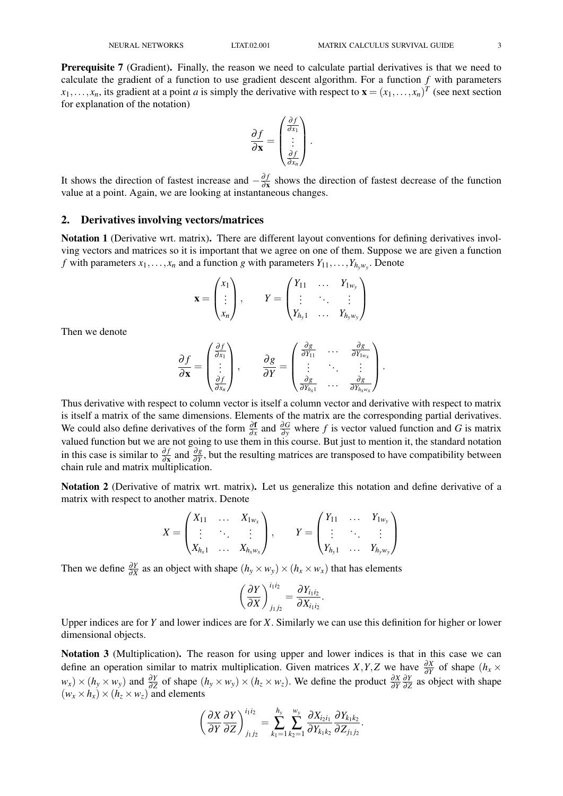Prerequisite 7 (Gradient). Finally, the reason we need to calculate partial derivatives is that we need to calculate the gradient of a function to use gradient descent algorithm. For a function *f* with parameters  $x_1, \ldots, x_n$ , its gradient at a point *a* is simply the derivative with respect to  $\mathbf{x} = (x_1, \ldots, x_n)^T$  (see next section for explanation of the notation)

$$
\frac{\partial f}{\partial \mathbf{x}} = \begin{pmatrix} \frac{\partial f}{\partial x_1} \\ \vdots \\ \frac{\partial f}{\partial x_n} \end{pmatrix}.
$$

It shows the direction of fastest increase and  $-\frac{\partial f}{\partial x}$  $\frac{\partial f}{\partial x}$  shows the direction of fastest decrease of the function value at a point. Again, we are looking at instantaneous changes.

#### 2. Derivatives involving vectors/matrices

Notation 1 (Derivative wrt. matrix). There are different layout conventions for defining derivatives involving vectors and matrices so it is important that we agree on one of them. Suppose we are given a function *f* with parameters  $x_1, \ldots, x_n$  and a function *g* with parameters  $Y_{11}, \ldots, Y_{h_y w_y}$ . Denote

$$
\mathbf{x} = \begin{pmatrix} x_1 \\ \vdots \\ x_n \end{pmatrix}, \qquad Y = \begin{pmatrix} Y_{11} & \dots & Y_{1w_y} \\ \vdots & \ddots & \vdots \\ Y_{h_y 1} & \dots & Y_{h_y w_y} \end{pmatrix}
$$

Then we denote

$$
\frac{\partial f}{\partial \mathbf{x}} = \begin{pmatrix} \frac{\partial f}{\partial x_1} \\ \vdots \\ \frac{\partial f}{\partial x_n} \end{pmatrix}, \qquad \frac{\partial g}{\partial Y} = \begin{pmatrix} \frac{\partial g}{\partial Y_{11}} & \cdots & \frac{\partial g}{\partial Y_{1w_x}} \\ \vdots & \ddots & \vdots \\ \frac{\partial g}{\partial Y_{hx_1}} & \cdots & \frac{\partial g}{\partial Y_{hx_1w_x}} \end{pmatrix}.
$$

Thus derivative with respect to column vector is itself a column vector and derivative with respect to matrix is itself a matrix of the same dimensions. Elements of the matrix are the corresponding partial derivatives. We could also define derivatives of the form  $\frac{\partial f}{\partial x}$  and  $\frac{\partial G}{\partial y}$  where *f* is vector valued function and *G* is matrix valued function but we are not going to use them in this course. But just to mention it, the standard notation in this case is similar to  $\frac{\partial f}{\partial x}$  and  $\frac{\partial g}{\partial y}$ , but the resulting matrices are transposed to have compatibility between chain rule and matrix multiplication.

Notation 2 (Derivative of matrix wrt. matrix). Let us generalize this notation and define derivative of a matrix with respect to another matrix. Denote

$$
X = \begin{pmatrix} X_{11} & \dots & X_{1_{W_X}} \\ \vdots & \ddots & \vdots \\ X_{h_x 1} & \dots & X_{h_x w_x} \end{pmatrix}, \qquad Y = \begin{pmatrix} Y_{11} & \dots & Y_{1_{W_y}} \\ \vdots & \ddots & \vdots \\ Y_{h_y 1} & \dots & Y_{h_y w_y} \end{pmatrix}
$$

Then we define  $\frac{\partial Y}{\partial X}$  as an object with shape  $(h_y \times w_y) \times (h_x \times w_x)$  that has elements

$$
\left(\frac{\partial Y}{\partial X}\right)^{i_1 i_2}_{j_1 j_2} = \frac{\partial Y_{i_1 i_2}}{\partial X_{i_1 i_2}}.
$$

Upper indices are for *Y* and lower indices are for *X*. Similarly we can use this definition for higher or lower dimensional objects.

Notation 3 (Multiplication). The reason for using upper and lower indices is that in this case we can define an operation similar to matrix multiplication. Given matrices *X*, *Y*, *Z* we have  $\frac{\partial X}{\partial y}$  of shape (*h<sub>x</sub>* ×  $w_x$  × (*h*<sub>*y*</sub> × *w*<sub>*y*</sub>) and  $\frac{\partial Y}{\partial Z}$  of shape (*h<sub>y</sub>* × *w<sub>y</sub>*) × (*h<sub>z</sub>* × *w<sub>z</sub>*). We define the product  $\frac{\partial X}{\partial Y} \frac{\partial Y}{\partial Z}$  as c ∂*Y*  $\frac{\partial Y}{\partial \overline{z}}$  as object with shape  $(w_x \times h_x) \times (h_z \times w_z)$  and elements

$$
\left(\frac{\partial X}{\partial Y}\frac{\partial Y}{\partial Z}\right)^{i_1i_2}_{j_1j_2}=\sum_{k_1=1}^{h_y}\sum_{k_2=1}^{w_y}\frac{\partial X_{i_2i_1}}{\partial Y_{k_1k_2}}\frac{\partial Y_{k_1k_2}}{\partial Z_{j_1j_2}}.
$$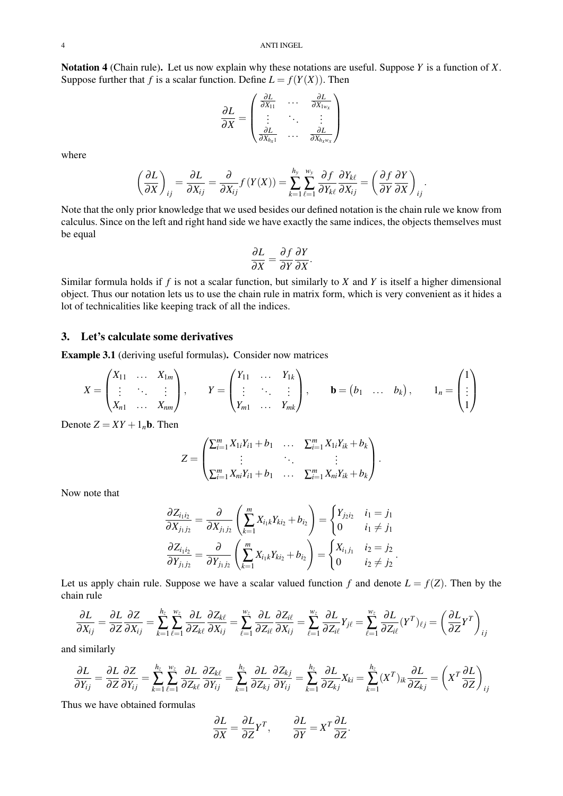Notation 4 (Chain rule). Let us now explain why these notations are useful. Suppose *Y* is a function of *X*. Suppose further that *f* is a scalar function. Define  $L = f(Y(X))$ . Then

$$
\frac{\partial L}{\partial X} = \begin{pmatrix} \frac{\partial L}{\partial X_{11}} & \cdots & \frac{\partial L}{\partial X_{1w_x}} \\ \vdots & \ddots & \vdots \\ \frac{\partial L}{\partial X_{h_x 1}} & \cdots & \frac{\partial L}{\partial X_{h_x w_x}} \end{pmatrix}
$$

where

$$
\left(\frac{\partial L}{\partial X}\right)_{ij} = \frac{\partial L}{\partial X_{ij}} = \frac{\partial}{\partial X_{ij}} f(Y(X)) = \sum_{k=1}^{h_y} \sum_{\ell=1}^{w_y} \frac{\partial f}{\partial Y_{k\ell}} \frac{\partial Y_{k\ell}}{\partial X_{ij}} = \left(\frac{\partial f}{\partial Y} \frac{\partial Y}{\partial X}\right)_{ij}.
$$

Note that the only prior knowledge that we used besides our defined notation is the chain rule we know from calculus. Since on the left and right hand side we have exactly the same indices, the objects themselves must be equal

$$
\frac{\partial L}{\partial X} = \frac{\partial f}{\partial Y} \frac{\partial Y}{\partial X}.
$$

Similar formula holds if *f* is not a scalar function, but similarly to *X* and *Y* is itself a higher dimensional object. Thus our notation lets us to use the chain rule in matrix form, which is very convenient as it hides a lot of technicalities like keeping track of all the indices.

## 3. Let's calculate some derivatives

Example 3.1 (deriving useful formulas). Consider now matrices

$$
X = \begin{pmatrix} X_{11} & \dots & X_{1m} \\ \vdots & \ddots & \vdots \\ X_{n1} & \dots & X_{nm} \end{pmatrix}, \qquad Y = \begin{pmatrix} Y_{11} & \dots & Y_{1k} \\ \vdots & \ddots & \vdots \\ Y_{m1} & \dots & Y_{mk} \end{pmatrix}, \qquad \mathbf{b} = \begin{pmatrix} b_1 & \dots & b_k \end{pmatrix}, \qquad 1_n = \begin{pmatrix} 1 \\ \vdots \\ 1 \end{pmatrix}
$$

Denote  $Z = XY + 1<sub>n</sub>$ **b**. Then

$$
Z = \begin{pmatrix} \sum_{i=1}^{m} X_{1i} Y_{i1} + b_1 & \dots & \sum_{i=1}^{m} X_{1i} Y_{ik} + b_k \\ \vdots & \ddots & \vdots \\ \sum_{i=1}^{m} X_{ni} Y_{i1} + b_1 & \dots & \sum_{i=1}^{m} X_{ni} Y_{ik} + b_k \end{pmatrix}.
$$

Now note that

$$
\frac{\partial Z_{i_1i_2}}{\partial X_{j_1j_2}} = \frac{\partial}{\partial X_{j_1j_2}} \left( \sum_{k=1}^m X_{i_1k} Y_{ki_2} + b_{i_2} \right) = \begin{cases} Y_{j_2i_2} & i_1 = j_1 \\ 0 & i_1 \neq j_1 \end{cases}
$$
\n
$$
\frac{\partial Z_{i_1i_2}}{\partial Y_{j_1j_2}} = \frac{\partial}{\partial Y_{j_1j_2}} \left( \sum_{k=1}^m X_{i_1k} Y_{ki_2} + b_{i_2} \right) = \begin{cases} X_{i_1j_1} & i_2 = j_2 \\ 0 & i_2 \neq j_2 \end{cases}.
$$

Let us apply chain rule. Suppose we have a scalar valued function  $f$  and denote  $L = f(Z)$ . Then by the chain rule

$$
\frac{\partial L}{\partial X_{ij}} = \frac{\partial L}{\partial Z} \frac{\partial Z}{\partial X_{ij}} = \sum_{k=1}^{h_z} \sum_{\ell=1}^{w_z} \frac{\partial L}{\partial Z_{k\ell}} \frac{\partial Z_{k\ell}}{\partial X_{ij}} = \sum_{\ell=1}^{w_z} \frac{\partial L}{\partial Z_{i\ell}} \frac{\partial Z_{i\ell}}{\partial X_{ij}} = \sum_{\ell=1}^{w_z} \frac{\partial L}{\partial Z_{i\ell}} Y_{j\ell} = \sum_{\ell=1}^{w_z} \frac{\partial L}{\partial Z_{i\ell}} (Y^T)_{\ell j} = \left(\frac{\partial L}{\partial Z} Y^T\right)_{ij}
$$

and similarly

$$
\frac{\partial L}{\partial Y_{ij}} = \frac{\partial L}{\partial Z} \frac{\partial Z}{\partial Y_{ij}} = \sum_{k=1}^{h_z} \sum_{\ell=1}^{w_z} \frac{\partial L}{\partial Z_{k\ell}} \frac{\partial Z_{k\ell}}{\partial Y_{ij}} = \sum_{k=1}^{h_z} \frac{\partial L}{\partial Z_{kj}} \frac{\partial Z_{kj}}{\partial Y_{ij}} = \sum_{k=1}^{h_z} \frac{\partial L}{\partial Z_{kj}} X_{ki} = \sum_{k=1}^{h_z} (X^T)_{ik} \frac{\partial L}{\partial Z_{kj}} = \left( X^T \frac{\partial L}{\partial Z} \right)_{ij}
$$

Thus we have obtained formulas

$$
\frac{\partial L}{\partial X} = \frac{\partial L}{\partial Z} Y^T, \qquad \frac{\partial L}{\partial Y} = X^T \frac{\partial L}{\partial Z}.
$$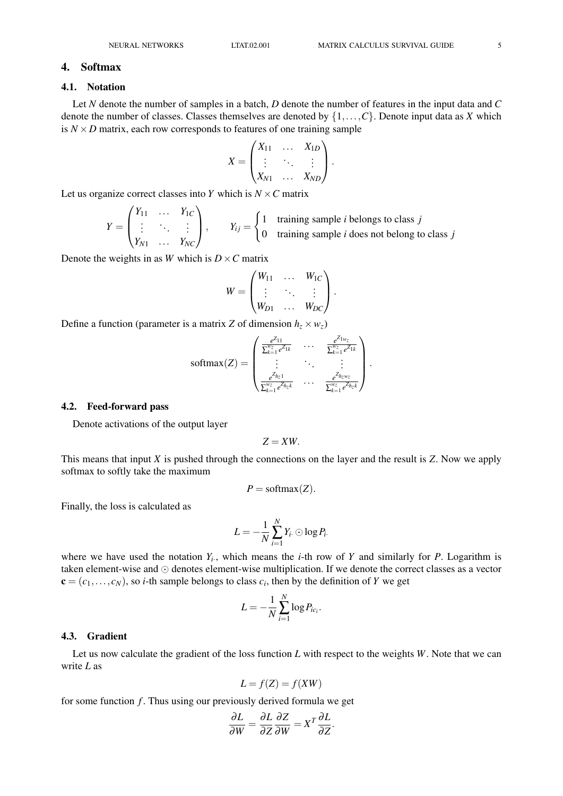#### 4. Softmax

### 4.1. Notation

Let *N* denote the number of samples in a batch, *D* denote the number of features in the input data and *C* denote the number of classes. Classes themselves are denoted by {1,...,*C*}. Denote input data as *X* which is  $N \times D$  matrix, each row corresponds to features of one training sample

$$
X = \begin{pmatrix} X_{11} & \dots & X_{1D} \\ \vdots & \ddots & \vdots \\ X_{N1} & \dots & X_{ND} \end{pmatrix}.
$$

Let us organize correct classes into *Y* which is  $N \times C$  matrix

$$
Y = \begin{pmatrix} Y_{11} & \dots & Y_{1C} \\ \vdots & \ddots & \vdots \\ Y_{N1} & \dots & Y_{NC} \end{pmatrix}, \qquad Y_{ij} = \begin{cases} 1 & \text{training sample } i \text{ belongs to class } j \\ 0 & \text{training sample } i \text{ does not belong to class } j \end{cases}
$$

Denote the weights in as *W* which is  $D \times C$  matrix

$$
W = \begin{pmatrix} W_{11} & \cdots & W_{1C} \\ \vdots & \ddots & \vdots \\ W_{D1} & \cdots & W_{DC} \end{pmatrix}.
$$

Define a function (parameter is a matrix *Z* of dimension  $h_z \times w_z$ )

$$
\text{softmax}(Z) = \begin{pmatrix} \frac{e^{Z_{11}}}{\sum_{k=1}^{w_Z} e^{Z_{1k}}} & \cdots & \frac{e^{Z_{1w_Z}}}{\sum_{k=1}^{w_Z} e^{Z_{1k}}} \\ \vdots & \ddots & \vdots \\ \frac{e^{Z_{h_z1}}}{\sum_{k=1}^{w_Z} e^{Z_{h_zk}}} & \cdots & \frac{e^{Z_{h_zw_Z}}}{\sum_{k=1}^{w_Z} e^{Z_{h_zk}}} \end{pmatrix}.
$$

#### 4.2. Feed-forward pass

Denote activations of the output layer

$$
Z= XW.
$$

This means that input *X* is pushed through the connections on the layer and the result is *Z*. Now we apply softmax to softly take the maximum

$$
P = \text{softmax}(Z).
$$

Finally, the loss is calculated as

$$
L=-\frac{1}{N}\sum_{i=1}^N Y_{i\cdot}\odot \log P_{i\cdot}
$$

where we have used the notation  $Y_i$ , which means the *i*-th row of *Y* and similarly for *P*. Logarithm is taken element-wise and  $\odot$  denotes element-wise multiplication. If we denote the correct classes as a vector  $\mathbf{c} = (c_1, \ldots, c_N)$ , so *i*-th sample belongs to class  $c_i$ , then by the definition of *Y* we get

$$
L=-\frac{1}{N}\sum_{i=1}^N\log P_{ic_i}.
$$

#### 4.3. Gradient

Let us now calculate the gradient of the loss function *L* with respect to the weights *W*. Note that we can write *L* as

$$
L = f(Z) = f(XW)
$$

for some function  $f$ . Thus using our previously derived formula we get

$$
\frac{\partial L}{\partial W} = \frac{\partial L}{\partial Z} \frac{\partial Z}{\partial W} = X^T \frac{\partial L}{\partial Z}.
$$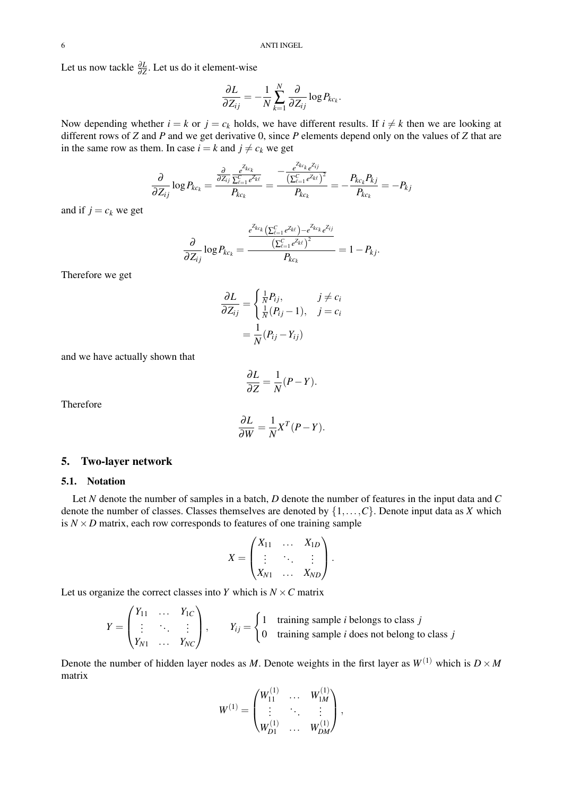Let us now tackle  $\frac{\partial L}{\partial \overline{z}}$ . Let us do it element-wise

$$
\frac{\partial L}{\partial Z_{ij}} = -\frac{1}{N} \sum_{k=1}^N \frac{\partial}{\partial Z_{ij}} \log P_{kc_k}.
$$

Now depending whether  $i = k$  or  $j = c_k$  holds, we have different results. If  $i \neq k$  then we are looking at different rows of *Z* and *P* and we get derivative 0, since *P* elements depend only on the values of *Z* that are in the same row as them. In case  $i = k$  and  $j \neq c_k$  we get

$$
\frac{\partial}{\partial Z_{ij}} \log P_{kc_k} = \frac{\frac{\partial}{\partial Z_{ij}} \frac{e^{Z_{kc_k}}}{\Sigma_{\ell=1}^C e^{Z_{k\ell}}} }{P_{kc_k}} = \frac{-\frac{e^{Z_{kc_k}} e^{Z_{ij}}}{\left(\Sigma_{\ell=1}^C e^{Z_{k\ell}}\right)^2}}{P_{kc_k}} = -\frac{P_{kc_k} P_{kj}}{P_{kc_k}} = -P_{kj}
$$

and if  $j = c_k$  we get

$$
\frac{\partial}{\partial Z_{ij}} \log P_{kc_k} = \frac{\frac{e^{Z_{kc_k}} \left( \sum_{\ell=1}^C e^{Z_{k\ell}} \right) - e^{Z_{kc_k}} e^{Z_{ij}} }{\left( \sum_{\ell=1}^C e^{Z_{k\ell}} \right)^2}}{P_{kc_k}} = 1 - P_{kj}.
$$

Therefore we get

$$
\frac{\partial L}{\partial Z_{ij}} = \begin{cases} \frac{1}{N} P_{ij}, & j \neq c_i\\ \frac{1}{N} (P_{ij} - 1), & j = c_i \end{cases}
$$

$$
= \frac{1}{N} (P_{ij} - Y_{ij})
$$

and we have actually shown that

$$
\frac{\partial L}{\partial Z} = \frac{1}{N}(P - Y).
$$

Therefore

$$
\frac{\partial L}{\partial W} = \frac{1}{N} X^T (P - Y).
$$

### 5. Two-layer network

### 5.1. Notation

Let *N* denote the number of samples in a batch, *D* denote the number of features in the input data and *C* denote the number of classes. Classes themselves are denoted by {1,...,*C*}. Denote input data as *X* which is  $N \times D$  matrix, each row corresponds to features of one training sample

$$
X = \begin{pmatrix} X_{11} & \dots & X_{1D} \\ \vdots & \ddots & \vdots \\ X_{N1} & \dots & X_{ND} \end{pmatrix}.
$$

Let us organize the correct classes into *Y* which is  $N \times C$  matrix

$$
Y = \begin{pmatrix} Y_{11} & \dots & Y_{1C} \\ \vdots & \ddots & \vdots \\ Y_{N1} & \dots & Y_{NC} \end{pmatrix}, \qquad Y_{ij} = \begin{cases} 1 & \text{training sample } i \text{ belongs to class } j \\ 0 & \text{training sample } i \text{ does not belong to class } j \end{cases}
$$

Denote the number of hidden layer nodes as *M*. Denote weights in the first layer as  $W^{(1)}$  which is  $D \times M$ matrix

$$
W^{(1)} = \begin{pmatrix} W_{11}^{(1)} & \ldots & W_{1M}^{(1)} \\ \vdots & \ddots & \vdots \\ W_{D1}^{(1)} & \ldots & W_{DM}^{(1)} \end{pmatrix},
$$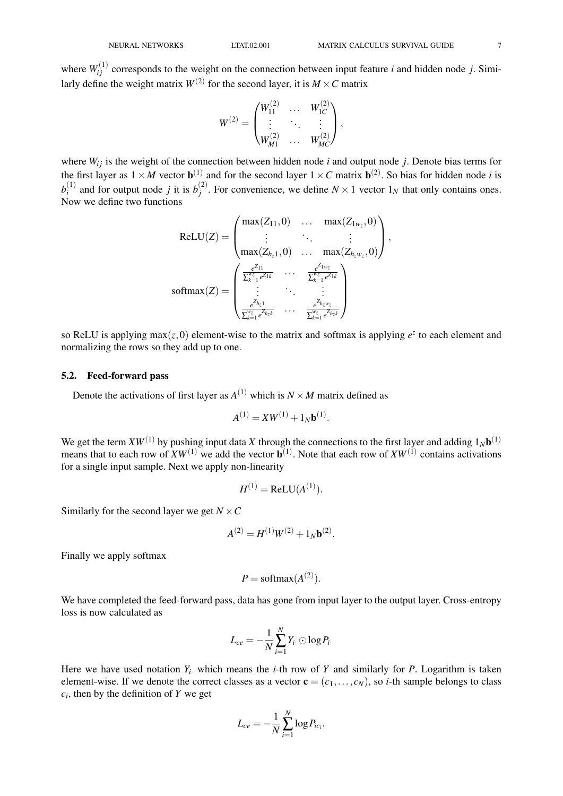where  $W_{ij}^{(1)}$  corresponds to the weight on the connection between input feature *i* and hidden node *j*. Similarly define the weight matrix  $W^{(2)}$  for the second layer, it is  $M \times C$  matrix

$$
W^{(2)} = \begin{pmatrix} W_{11}^{(2)} & \ldots & W_{1C}^{(2)} \\ \vdots & \ddots & \vdots \\ W_{M1}^{(2)} & \ldots & W_{MC}^{(2)} \end{pmatrix},
$$

where  $W_{ij}$  is the weight of the connection between hidden node *i* and output node *j*. Denote bias terms for the first layer as  $1 \times M$  vector  $\mathbf{b}^{(1)}$  and for the second layer  $1 \times C$  matrix  $\mathbf{b}^{(2)}$ . So bias for hidden node *i* is  $b_i^{(1)}$  $i$ <sup>(1)</sup>) and for output node *j* it is  $b_j$ <sup>(2)</sup>  $j^{(2)}$ . For convenience, we define  $N \times 1$  vector  $1_N$  that only contains ones. Now we define two functions

$$
\text{ReLU}(Z) = \begin{pmatrix} \max(Z_{11}, 0) & \dots & \max(Z_{1w_z}, 0) \\ \vdots & \ddots & \vdots \\ \max(Z_{h_z 1}, 0) & \dots & \max(Z_{h_z w_z}, 0) \end{pmatrix}, \\ \text{softmax}(Z) = \begin{pmatrix} \frac{e^{Z_{11}}}{\sum_{k=1}^{w_z} e^{Z_{1k}}} & \dots & \frac{e^{Z_{1w_z}}}{\sum_{k=1}^{w_z} e^{Z_{1k}}} \\ \vdots & \ddots & \vdots \\ \frac{e^{Z_{h_z 1}}}{\sum_{k=1}^{w_z} e^{Z_{h_z k}}} & \dots & \frac{e^{Z_{h_z w_z}}}{\sum_{k=1}^{w_z} e^{Z_{h_z k}}} \end{pmatrix}
$$

so ReLU is applying max $(z, 0)$  element-wise to the matrix and softmax is applying  $e^z$  to each element and normalizing the rows so they add up to one.

#### 5.2. Feed-forward pass

Denote the activations of first layer as  $A^{(1)}$  which is  $N \times M$  matrix defined as

$$
A^{(1)} = XW^{(1)} + 1_Nb^{(1)}.
$$

We get the term  $XW^{(1)}$  by pushing input data X through the connections to the first layer and adding  $1_N\mathbf{b}^{(1)}$ means that to each row of  $XW^{(1)}$  we add the vector  $\mathbf{b}^{(1)}$ . Note that each row of  $XW^{(1)}$  contains activations for a single input sample. Next we apply non-linearity

$$
H^{(1)} = \text{ReLU}(A^{(1)}).
$$

Similarly for the second layer we get  $N \times C$ 

$$
A^{(2)} = H^{(1)}W^{(2)} + 1_N b^{(2)}.
$$

Finally we apply softmax

$$
P = \text{softmax}(A^{(2)}).
$$

We have completed the feed-forward pass, data has gone from input layer to the output layer. Cross-entropy loss is now calculated as

$$
L_{ce}=-\frac{1}{N}\sum_{i=1}^N Y_i\odot \log P_i.
$$

Here we have used notation  $Y_i$  which means the *i*-th row of  $Y$  and similarly for  $P$ . Logarithm is taken element-wise. If we denote the correct classes as a vector  $\mathbf{c} = (c_1, \ldots, c_N)$ , so *i*-th sample belongs to class *ci* , then by the definition of *Y* we get

$$
L_{ce}=-\frac{1}{N}\sum_{i=1}^N\log P_{ic_i}.
$$